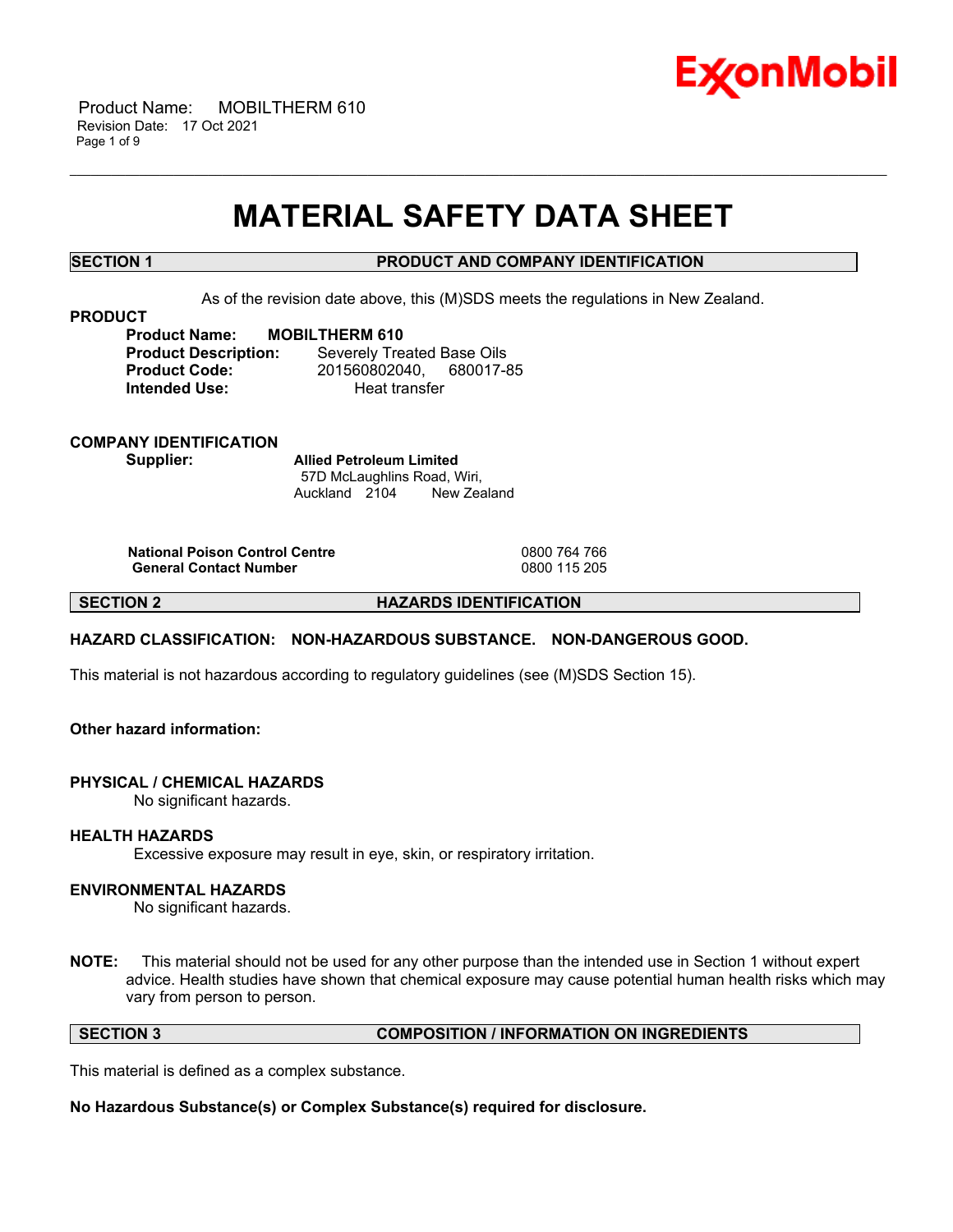

 Product Name: MOBILTHERM 610 Revision Date: 17 Oct 2021 Page 1 of 9

# **MATERIAL SAFETY DATA SHEET**

\_\_\_\_\_\_\_\_\_\_\_\_\_\_\_\_\_\_\_\_\_\_\_\_\_\_\_\_\_\_\_\_\_\_\_\_\_\_\_\_\_\_\_\_\_\_\_\_\_\_\_\_\_\_\_\_\_\_\_\_\_\_\_\_\_\_\_\_\_\_\_\_\_\_\_\_\_\_\_\_\_\_\_\_\_\_\_\_\_\_\_\_\_\_\_\_\_\_\_\_\_\_\_\_\_\_\_\_\_\_\_\_\_\_\_\_\_\_

# **SECTION 1 PRODUCT AND COMPANY IDENTIFICATION**

As of the revision date above, this (M)SDS meets the regulations in New Zealand.

### **PRODUCT**

**Product Name: MOBILTHERM 610 Product Description:** Severely Treated Base Oils **Product Code:** 201560802040, 680017-85 **Intended Use:** Heat transfer

**COMPANY IDENTIFICATION Supplier: Allied Petroleum Limited**

57D McLaughlins Road, Wiri, Auckland 2104 New Zealand

**National Poison Control Centre** 0800 764 766 **General Contact Number** 

**SECTION 2 HAZARDS IDENTIFICATION**

# **HAZARD CLASSIFICATION: NON-HAZARDOUS SUBSTANCE. NON-DANGEROUS GOOD.**

This material is not hazardous according to regulatory guidelines (see (M)SDS Section 15).

# **Other hazard information:**

### **PHYSICAL / CHEMICAL HAZARDS**

No significant hazards.

### **HEALTH HAZARDS**

Excessive exposure may result in eye, skin, or respiratory irritation.

# **ENVIRONMENTAL HAZARDS**

No significant hazards.

**NOTE:** This material should not be used for any other purpose than the intended use in Section 1 without expert advice. Health studies have shown that chemical exposure may cause potential human health risks which may vary from person to person.

### **SECTION 3 COMPOSITION / INFORMATION ON INGREDIENTS**

This material is defined as a complex substance.

**No Hazardous Substance(s) or Complex Substance(s) required for disclosure.**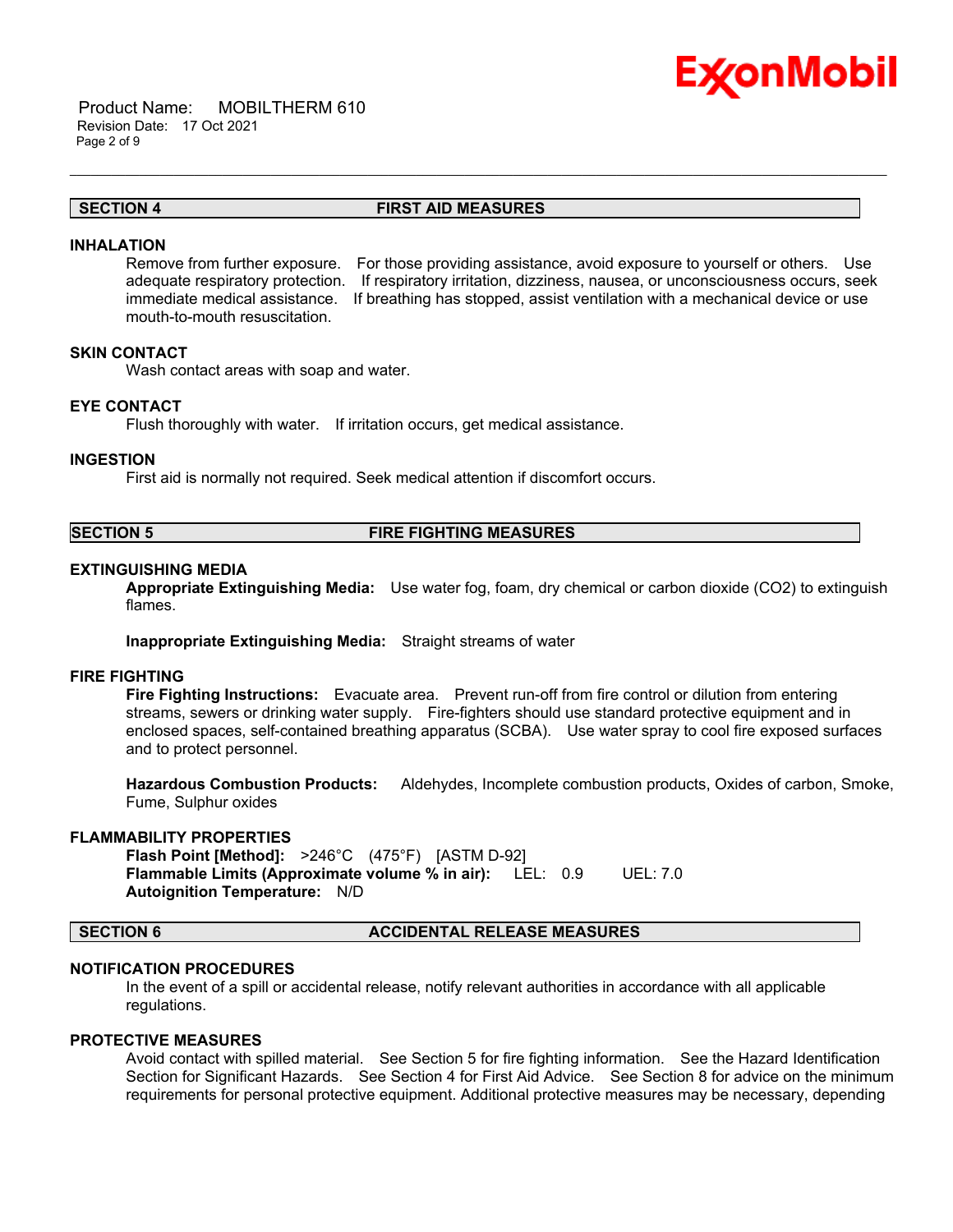

 Product Name: MOBILTHERM 610 Revision Date: 17 Oct 2021 Page 2 of 9

# **SECTION 4 FIRST AID MEASURES**

\_\_\_\_\_\_\_\_\_\_\_\_\_\_\_\_\_\_\_\_\_\_\_\_\_\_\_\_\_\_\_\_\_\_\_\_\_\_\_\_\_\_\_\_\_\_\_\_\_\_\_\_\_\_\_\_\_\_\_\_\_\_\_\_\_\_\_\_\_\_\_\_\_\_\_\_\_\_\_\_\_\_\_\_\_\_\_\_\_\_\_\_\_\_\_\_\_\_\_\_\_\_\_\_\_\_\_\_\_\_\_\_\_\_\_\_\_\_

### **INHALATION**

Remove from further exposure. For those providing assistance, avoid exposure to yourself or others. Use adequate respiratory protection. If respiratory irritation, dizziness, nausea, or unconsciousness occurs, seek immediate medical assistance. If breathing has stopped, assist ventilation with a mechanical device or use mouth-to-mouth resuscitation.

# **SKIN CONTACT**

Wash contact areas with soap and water.

# **EYE CONTACT**

Flush thoroughly with water. If irritation occurs, get medical assistance.

#### **INGESTION**

First aid is normally not required. Seek medical attention if discomfort occurs.

### **SECTION 5 FIRE FIGHTING MEASURES**

### **EXTINGUISHING MEDIA**

**Appropriate Extinguishing Media:** Use water fog, foam, dry chemical or carbon dioxide (CO2) to extinguish flames.

**Inappropriate Extinguishing Media:** Straight streams of water

### **FIRE FIGHTING**

**Fire Fighting Instructions:** Evacuate area. Prevent run-off from fire control or dilution from entering streams, sewers or drinking water supply. Fire-fighters should use standard protective equipment and in enclosed spaces, self-contained breathing apparatus (SCBA). Use water spray to cool fire exposed surfaces and to protect personnel.

**Hazardous Combustion Products:** Aldehydes, Incomplete combustion products, Oxides of carbon, Smoke, Fume, Sulphur oxides

#### **FLAMMABILITY PROPERTIES**

**Flash Point [Method]:** >246°C (475°F) [ASTM D-92] **Flammable Limits (Approximate volume % in air):** LEL: 0.9 UEL: 7.0 **Autoignition Temperature:** N/D

### **SECTION 6 ACCIDENTAL RELEASE MEASURES**

# **NOTIFICATION PROCEDURES**

In the event of a spill or accidental release, notify relevant authorities in accordance with all applicable regulations.

# **PROTECTIVE MEASURES**

Avoid contact with spilled material. See Section 5 for fire fighting information. See the Hazard Identification Section for Significant Hazards. See Section 4 for First Aid Advice. See Section 8 for advice on the minimum requirements for personal protective equipment. Additional protective measures may be necessary, depending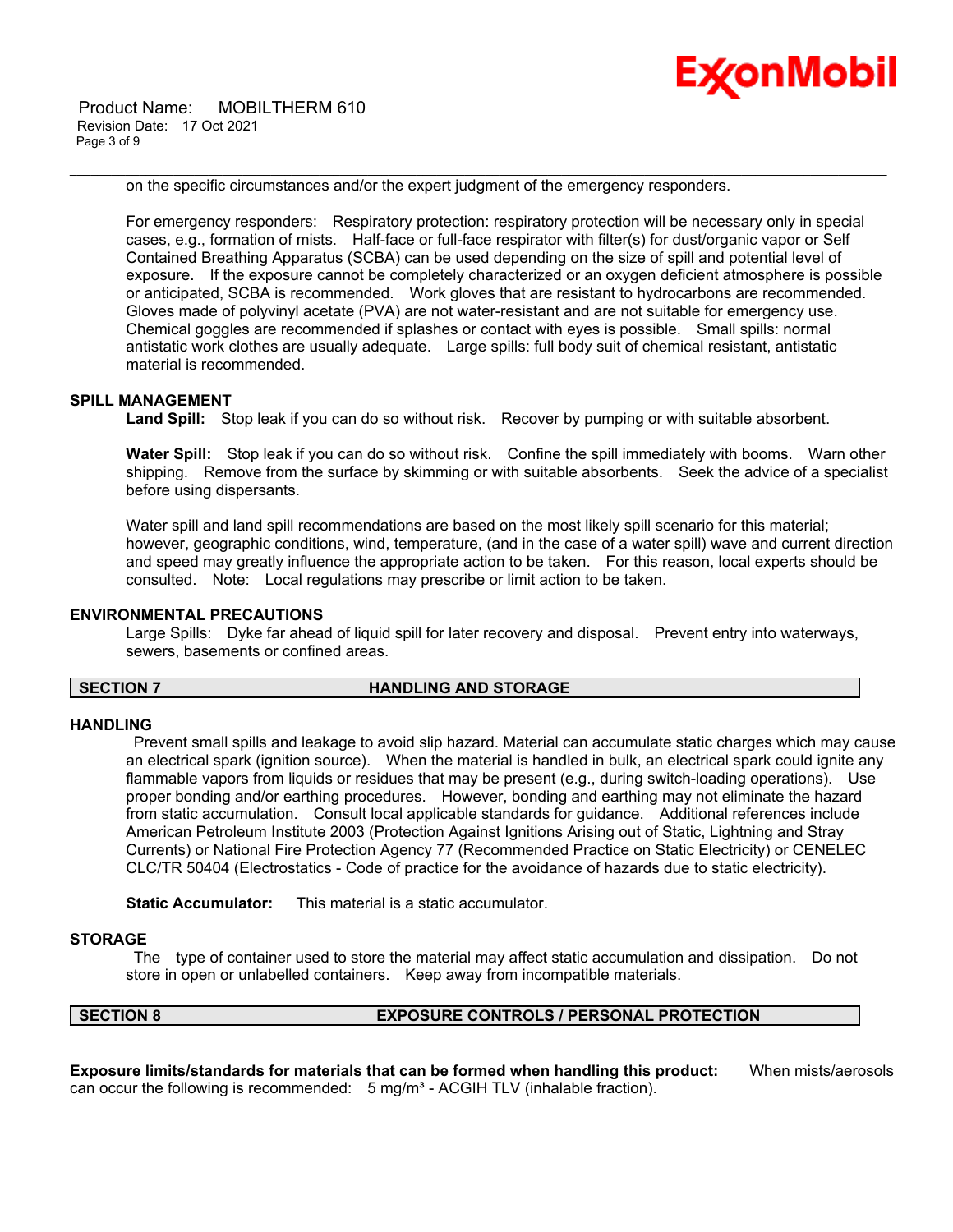Product Name: MOBILTHERM 610 Revision Date: 17 Oct 2021 Page 3 of 9



on the specific circumstances and/or the expert judgment of the emergency responders.

\_\_\_\_\_\_\_\_\_\_\_\_\_\_\_\_\_\_\_\_\_\_\_\_\_\_\_\_\_\_\_\_\_\_\_\_\_\_\_\_\_\_\_\_\_\_\_\_\_\_\_\_\_\_\_\_\_\_\_\_\_\_\_\_\_\_\_\_\_\_\_\_\_\_\_\_\_\_\_\_\_\_\_\_\_\_\_\_\_\_\_\_\_\_\_\_\_\_\_\_\_\_\_\_\_\_\_\_\_\_\_\_\_\_\_\_\_\_

For emergency responders: Respiratory protection: respiratory protection will be necessary only in special cases, e.g., formation of mists. Half-face or full-face respirator with filter(s) for dust/organic vapor or Self Contained Breathing Apparatus (SCBA) can be used depending on the size of spill and potential level of exposure. If the exposure cannot be completely characterized or an oxygen deficient atmosphere is possible or anticipated, SCBA is recommended. Work gloves that are resistant to hydrocarbons are recommended. Gloves made of polyvinyl acetate (PVA) are not water-resistant and are not suitable for emergency use. Chemical goggles are recommended if splashes or contact with eyes is possible. Small spills: normal antistatic work clothes are usually adequate. Large spills: full body suit of chemical resistant, antistatic material is recommended.

## **SPILL MANAGEMENT**

**Land Spill:** Stop leak if you can do so without risk. Recover by pumping or with suitable absorbent.

**Water Spill:** Stop leak if you can do so without risk. Confine the spill immediately with booms. Warn other shipping. Remove from the surface by skimming or with suitable absorbents. Seek the advice of a specialist before using dispersants.

Water spill and land spill recommendations are based on the most likely spill scenario for this material; however, geographic conditions, wind, temperature, (and in the case of a water spill) wave and current direction and speed may greatly influence the appropriate action to be taken. For this reason, local experts should be consulted. Note: Local regulations may prescribe or limit action to be taken.

# **ENVIRONMENTAL PRECAUTIONS**

Large Spills: Dyke far ahead of liquid spill for later recovery and disposal. Prevent entry into waterways, sewers, basements or confined areas.

# **SECTION 7 HANDLING AND STORAGE**

### **HANDLING**

Prevent small spills and leakage to avoid slip hazard. Material can accumulate static charges which may cause an electrical spark (ignition source). When the material is handled in bulk, an electrical spark could ignite any flammable vapors from liquids or residues that may be present (e.g., during switch-loading operations). Use proper bonding and/or earthing procedures. However, bonding and earthing may not eliminate the hazard from static accumulation. Consult local applicable standards for guidance. Additional references include American Petroleum Institute 2003 (Protection Against Ignitions Arising out of Static, Lightning and Stray Currents) or National Fire Protection Agency 77 (Recommended Practice on Static Electricity) or CENELEC CLC/TR 50404 (Electrostatics - Code of practice for the avoidance of hazards due to static electricity).

**Static Accumulator:** This material is a static accumulator.

# **STORAGE**

The type of container used to store the material may affect static accumulation and dissipation. Do not store in open or unlabelled containers. Keep away from incompatible materials.

# **SECTION 8 EXPOSURE CONTROLS / PERSONAL PROTECTION**

**Exposure limits/standards for materials that can be formed when handling this product:** When mists/aerosols can occur the following is recommended:  $5 \text{ mg/m}^3$  - ACGIH TLV (inhalable fraction).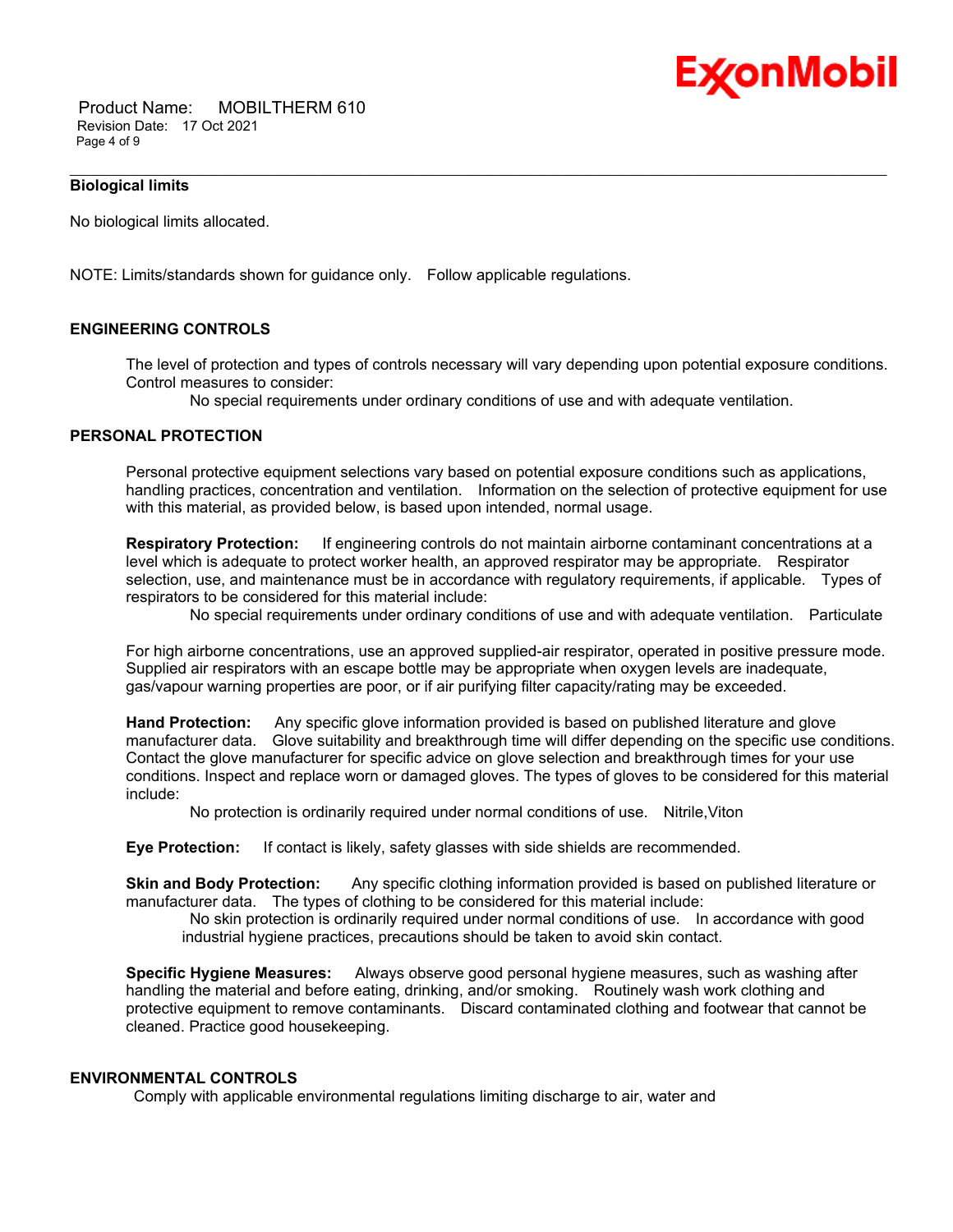

 Product Name: MOBILTHERM 610 Revision Date: 17 Oct 2021 Page 4 of 9

# **Biological limits**

No biological limits allocated.

NOTE: Limits/standards shown for guidance only. Follow applicable regulations.

# **ENGINEERING CONTROLS**

The level of protection and types of controls necessary will vary depending upon potential exposure conditions. Control measures to consider:

No special requirements under ordinary conditions of use and with adequate ventilation.

\_\_\_\_\_\_\_\_\_\_\_\_\_\_\_\_\_\_\_\_\_\_\_\_\_\_\_\_\_\_\_\_\_\_\_\_\_\_\_\_\_\_\_\_\_\_\_\_\_\_\_\_\_\_\_\_\_\_\_\_\_\_\_\_\_\_\_\_\_\_\_\_\_\_\_\_\_\_\_\_\_\_\_\_\_\_\_\_\_\_\_\_\_\_\_\_\_\_\_\_\_\_\_\_\_\_\_\_\_\_\_\_\_\_\_\_\_\_

# **PERSONAL PROTECTION**

Personal protective equipment selections vary based on potential exposure conditions such as applications, handling practices, concentration and ventilation. Information on the selection of protective equipment for use with this material, as provided below, is based upon intended, normal usage.

**Respiratory Protection:** If engineering controls do not maintain airborne contaminant concentrations at a level which is adequate to protect worker health, an approved respirator may be appropriate. Respirator selection, use, and maintenance must be in accordance with regulatory requirements, if applicable. Types of respirators to be considered for this material include:

No special requirements under ordinary conditions of use and with adequate ventilation. Particulate

For high airborne concentrations, use an approved supplied-air respirator, operated in positive pressure mode. Supplied air respirators with an escape bottle may be appropriate when oxygen levels are inadequate, gas/vapour warning properties are poor, or if air purifying filter capacity/rating may be exceeded.

**Hand Protection:** Any specific glove information provided is based on published literature and glove manufacturer data. Glove suitability and breakthrough time will differ depending on the specific use conditions. Contact the glove manufacturer for specific advice on glove selection and breakthrough times for your use conditions. Inspect and replace worn or damaged gloves. The types of gloves to be considered for this material include:

No protection is ordinarily required under normal conditions of use. Nitrile,Viton

**Eye Protection:** If contact is likely, safety glasses with side shields are recommended.

**Skin and Body Protection:** Any specific clothing information provided is based on published literature or manufacturer data. The types of clothing to be considered for this material include:

No skin protection is ordinarily required under normal conditions of use. In accordance with good industrial hygiene practices, precautions should be taken to avoid skin contact.

**Specific Hygiene Measures:** Always observe good personal hygiene measures, such as washing after handling the material and before eating, drinking, and/or smoking. Routinely wash work clothing and protective equipment to remove contaminants. Discard contaminated clothing and footwear that cannot be cleaned. Practice good housekeeping.

#### **ENVIRONMENTAL CONTROLS**

Comply with applicable environmental regulations limiting discharge to air, water and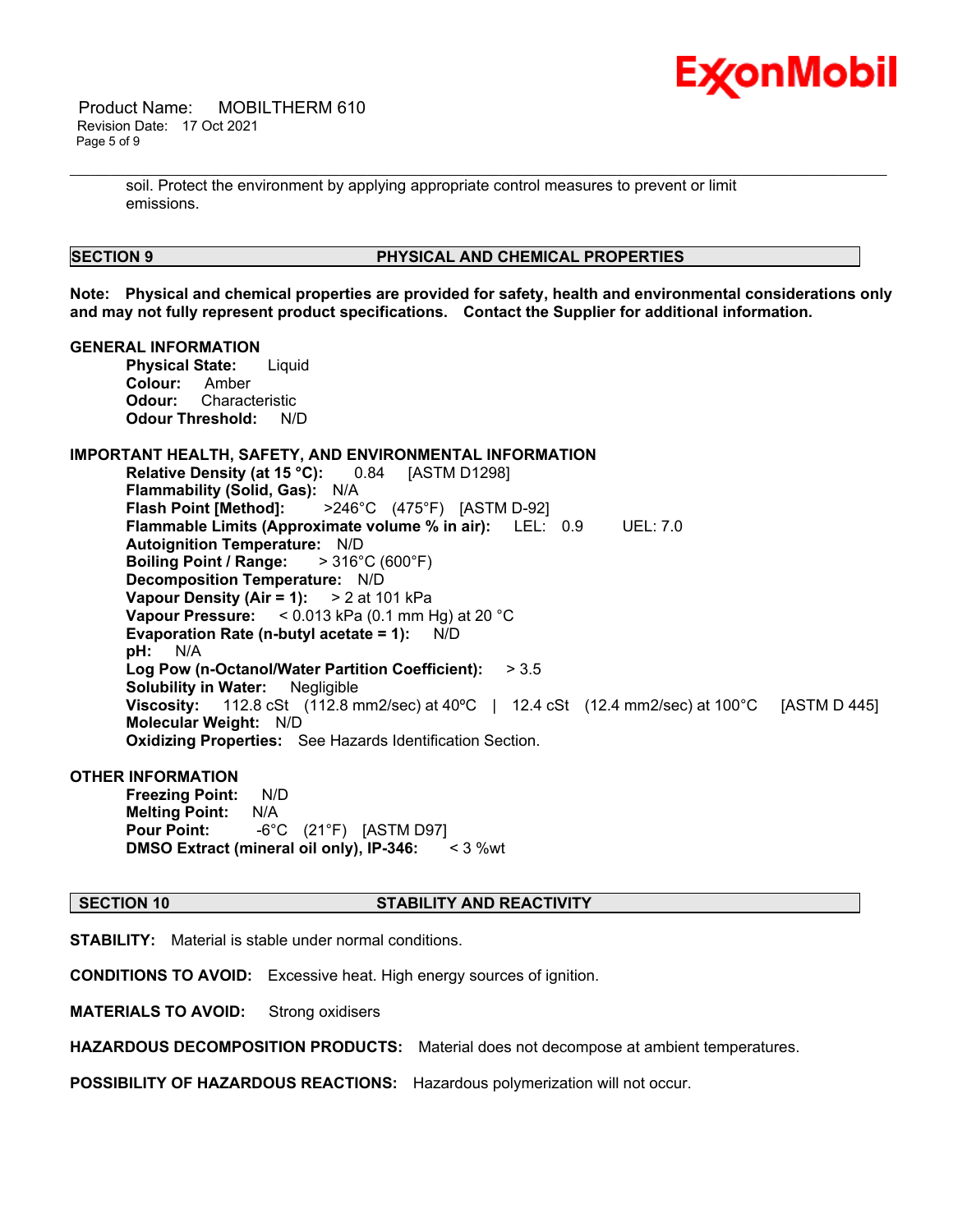

 Product Name: MOBILTHERM 610 Revision Date: 17 Oct 2021 Page 5 of 9

> soil. Protect the environment by applying appropriate control measures to prevent or limit emissions.

# **SECTION 9 PHYSICAL AND CHEMICAL PROPERTIES**

**Note: Physical and chemical properties are provided for safety, health and environmental considerations only and may not fully represent product specifications. Contact the Supplier for additional information.**

\_\_\_\_\_\_\_\_\_\_\_\_\_\_\_\_\_\_\_\_\_\_\_\_\_\_\_\_\_\_\_\_\_\_\_\_\_\_\_\_\_\_\_\_\_\_\_\_\_\_\_\_\_\_\_\_\_\_\_\_\_\_\_\_\_\_\_\_\_\_\_\_\_\_\_\_\_\_\_\_\_\_\_\_\_\_\_\_\_\_\_\_\_\_\_\_\_\_\_\_\_\_\_\_\_\_\_\_\_\_\_\_\_\_\_\_\_\_

#### **GENERAL INFORMATION**

**Physical State:** Liquid **Colour:** Amber **Odour:** Characteristic **Odour Threshold:** N/D

# **IMPORTANT HEALTH, SAFETY, AND ENVIRONMENTAL INFORMATION**

**Relative Density (at 15 °C):** 0.84 [ASTM D1298] **Flammability (Solid, Gas):** N/A **Flash Point [Method]:** >246°C (475°F) [ASTM D-92] **Flammable Limits (Approximate volume % in air):** LEL: 0.9 UEL: 7.0 **Autoignition Temperature:** N/D **Boiling Point / Range:** > 316°C (600°F) **Decomposition Temperature:** N/D **Vapour Density (Air = 1):** > 2 at 101 kPa **Vapour Pressure:** < 0.013 kPa (0.1 mm Hg) at 20 °C **Evaporation Rate (n-butyl acetate = 1):** N/D **pH:** N/A **Log Pow (n-Octanol/Water Partition Coefficient):** > 3.5 **Solubility in Water:** Negligible **Viscosity:** 112.8 cSt (112.8 mm2/sec) at 40ºC | 12.4 cSt (12.4 mm2/sec) at 100°C [ASTM D 445] **Molecular Weight:** N/D **Oxidizing Properties:** See Hazards Identification Section.

### **OTHER INFORMATION**

**Freezing Point:** N/D **Melting Point:** N/A **Pour Point:** -6°C (21°F) [ASTM D97] **DMSO Extract (mineral oil only), IP-346:** < 3 %wt

# **SECTION 10 STABILITY AND REACTIVITY**

**STABILITY:** Material is stable under normal conditions.

**CONDITIONS TO AVOID:** Excessive heat. High energy sources of ignition.

**MATERIALS TO AVOID:** Strong oxidisers

**HAZARDOUS DECOMPOSITION PRODUCTS:** Material does not decompose at ambient temperatures.

**POSSIBILITY OF HAZARDOUS REACTIONS:** Hazardous polymerization will not occur.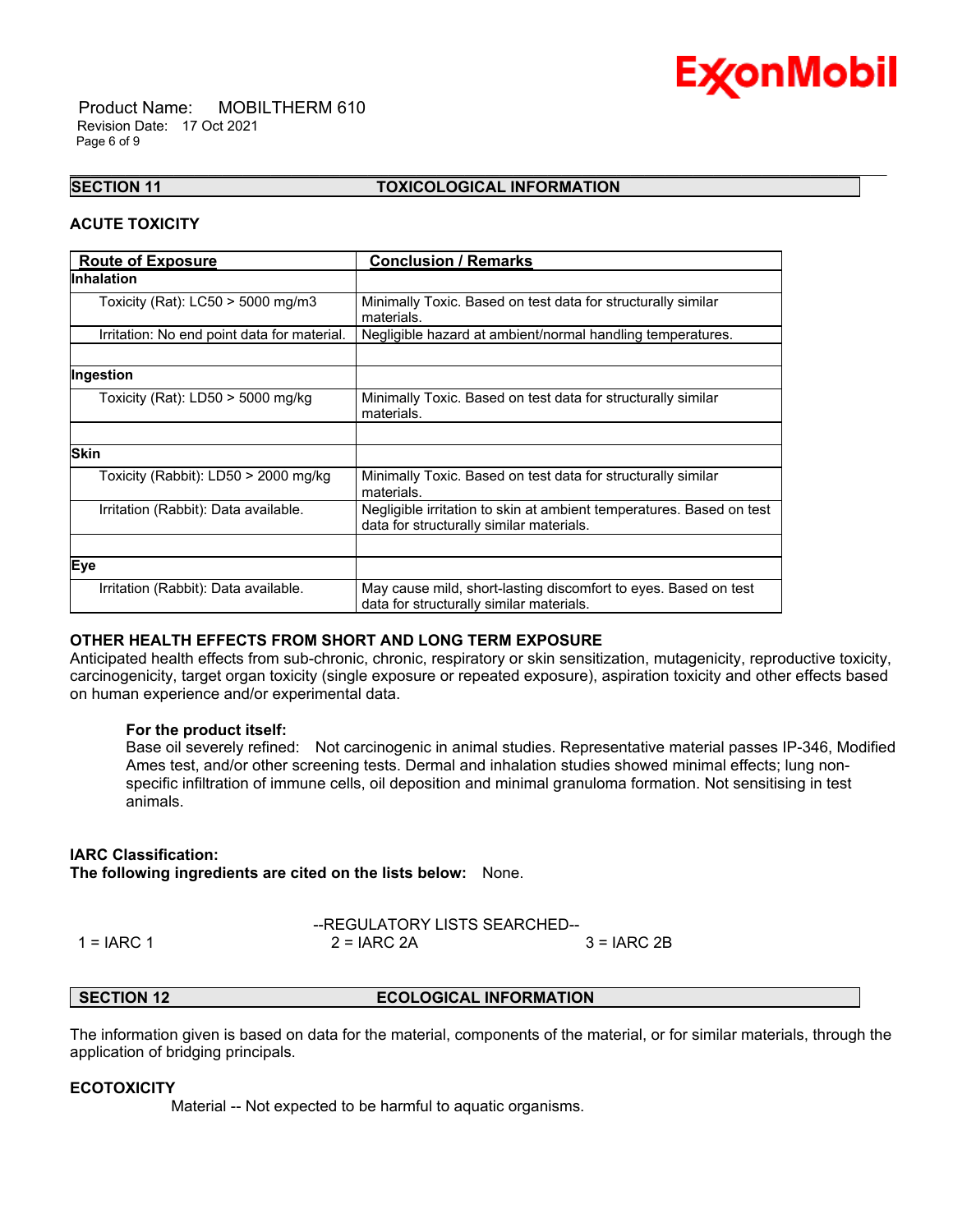

 Product Name: MOBILTHERM 610 Revision Date: 17 Oct 2021 Page 6 of 9

# **SECTION 11 TOXICOLOGICAL INFORMATION**

\_\_\_\_\_\_\_\_\_\_\_\_\_\_\_\_\_\_\_\_\_\_\_\_\_\_\_\_\_\_\_\_\_\_\_\_\_\_\_\_\_\_\_\_\_\_\_\_\_\_\_\_\_\_\_\_\_\_\_\_\_\_\_\_\_\_\_\_\_\_\_\_\_\_\_\_\_\_\_\_\_\_\_\_\_\_\_\_\_\_\_\_\_\_\_\_\_\_\_\_\_\_\_\_\_\_\_\_\_\_\_\_\_\_\_\_\_\_

# **ACUTE TOXICITY**

| <b>Route of Exposure</b>                    | <b>Conclusion / Remarks</b>                                                                                      |  |  |
|---------------------------------------------|------------------------------------------------------------------------------------------------------------------|--|--|
| <b>Inhalation</b>                           |                                                                                                                  |  |  |
| Toxicity (Rat): $LC50 > 5000$ mg/m3         | Minimally Toxic. Based on test data for structurally similar<br>materials.                                       |  |  |
| Irritation: No end point data for material. | Negligible hazard at ambient/normal handling temperatures.                                                       |  |  |
|                                             |                                                                                                                  |  |  |
| Ingestion                                   |                                                                                                                  |  |  |
| Toxicity (Rat): LD50 > 5000 mg/kg           | Minimally Toxic. Based on test data for structurally similar<br>materials.                                       |  |  |
|                                             |                                                                                                                  |  |  |
| <b>Skin</b>                                 |                                                                                                                  |  |  |
| Toxicity (Rabbit): LD50 > 2000 mg/kg        | Minimally Toxic. Based on test data for structurally similar<br>materials.                                       |  |  |
| Irritation (Rabbit): Data available.        | Negligible irritation to skin at ambient temperatures. Based on test<br>data for structurally similar materials. |  |  |
|                                             |                                                                                                                  |  |  |
| Eye                                         |                                                                                                                  |  |  |
| Irritation (Rabbit): Data available.        | May cause mild, short-lasting discomfort to eyes. Based on test<br>data for structurally similar materials.      |  |  |

# **OTHER HEALTH EFFECTS FROM SHORT AND LONG TERM EXPOSURE**

Anticipated health effects from sub-chronic, chronic, respiratory or skin sensitization, mutagenicity, reproductive toxicity, carcinogenicity, target organ toxicity (single exposure or repeated exposure), aspiration toxicity and other effects based on human experience and/or experimental data.

# **For the product itself:**

Base oil severely refined: Not carcinogenic in animal studies. Representative material passes IP-346, Modified Ames test, and/or other screening tests. Dermal and inhalation studies showed minimal effects; lung nonspecific infiltration of immune cells, oil deposition and minimal granuloma formation. Not sensitising in test animals.

# **IARC Classification:**

**The following ingredients are cited on the lists below:** None.

--REGULATORY LISTS SEARCHED-- 1 = IARC 1 2 = IARC 2A 3 = IARC 2B

# **SECTION 12 ECOLOGICAL INFORMATION**

The information given is based on data for the material, components of the material, or for similar materials, through the application of bridging principals.

# **ECOTOXICITY**

Material -- Not expected to be harmful to aquatic organisms.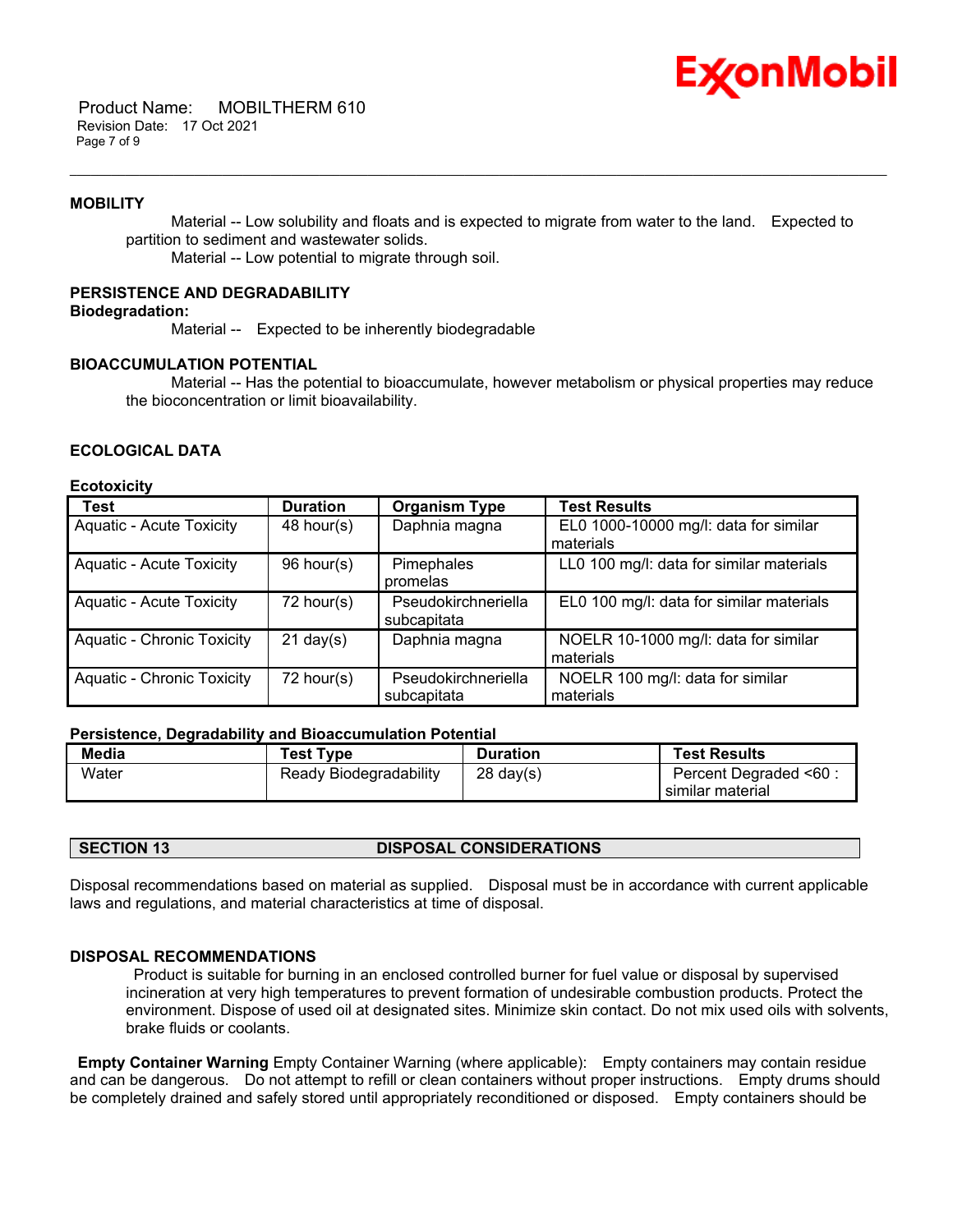

 Product Name: MOBILTHERM 610 Revision Date: 17 Oct 2021 Page 7 of 9

### **MOBILITY**

 Material -- Low solubility and floats and is expected to migrate from water to the land. Expected to partition to sediment and wastewater solids.

\_\_\_\_\_\_\_\_\_\_\_\_\_\_\_\_\_\_\_\_\_\_\_\_\_\_\_\_\_\_\_\_\_\_\_\_\_\_\_\_\_\_\_\_\_\_\_\_\_\_\_\_\_\_\_\_\_\_\_\_\_\_\_\_\_\_\_\_\_\_\_\_\_\_\_\_\_\_\_\_\_\_\_\_\_\_\_\_\_\_\_\_\_\_\_\_\_\_\_\_\_\_\_\_\_\_\_\_\_\_\_\_\_\_\_\_\_\_

Material -- Low potential to migrate through soil.

# **PERSISTENCE AND DEGRADABILITY**

# **Biodegradation:**

Material -- Expected to be inherently biodegradable

# **BIOACCUMULATION POTENTIAL**

 Material -- Has the potential to bioaccumulate, however metabolism or physical properties may reduce the bioconcentration or limit bioavailability.

# **ECOLOGICAL DATA**

### **Ecotoxicity**

| <b>Test</b>                       | <b>Duration</b>     | <b>Organism Type</b> | <b>Test Results</b>                      |
|-----------------------------------|---------------------|----------------------|------------------------------------------|
| <b>Aquatic - Acute Toxicity</b>   | $48$ hour(s)        | Daphnia magna        | EL0 1000-10000 mg/l: data for similar    |
|                                   |                     |                      | materials                                |
| <b>Aquatic - Acute Toxicity</b>   | 96 hour(s)          | Pimephales           | LL0 100 mg/l: data for similar materials |
|                                   |                     | promelas             |                                          |
| <b>Aquatic - Acute Toxicity</b>   | $72$ hour(s)        | Pseudokirchneriella  | EL0 100 mg/l: data for similar materials |
|                                   |                     | subcapitata          |                                          |
| <b>Aquatic - Chronic Toxicity</b> | $21 \text{ day}(s)$ | Daphnia magna        | NOELR 10-1000 mg/l: data for similar     |
|                                   |                     |                      | materials                                |
| <b>Aquatic - Chronic Toxicity</b> | 72 hour(s)          | Pseudokirchneriella  | NOELR 100 mg/l: data for similar         |
|                                   |                     | subcapitata          | materials                                |

### **Persistence, Degradability and Bioaccumulation Potential**

| Media | <b>Test Type</b>       | <b>Duration</b>     | <b>Test Results</b>    |
|-------|------------------------|---------------------|------------------------|
| Water | Ready Biodegradability | $28 \text{ day}(s)$ | Percent Degraded <60 : |
|       |                        |                     | similar material       |

### **SECTION 13 DISPOSAL CONSIDERATIONS**

Disposal recommendations based on material as supplied. Disposal must be in accordance with current applicable laws and regulations, and material characteristics at time of disposal.

### **DISPOSAL RECOMMENDATIONS**

Product is suitable for burning in an enclosed controlled burner for fuel value or disposal by supervised incineration at very high temperatures to prevent formation of undesirable combustion products. Protect the environment. Dispose of used oil at designated sites. Minimize skin contact. Do not mix used oils with solvents, brake fluids or coolants.

**Empty Container Warning** Empty Container Warning (where applicable): Empty containers may contain residue and can be dangerous. Do not attempt to refill or clean containers without proper instructions. Empty drums should be completely drained and safely stored until appropriately reconditioned or disposed. Empty containers should be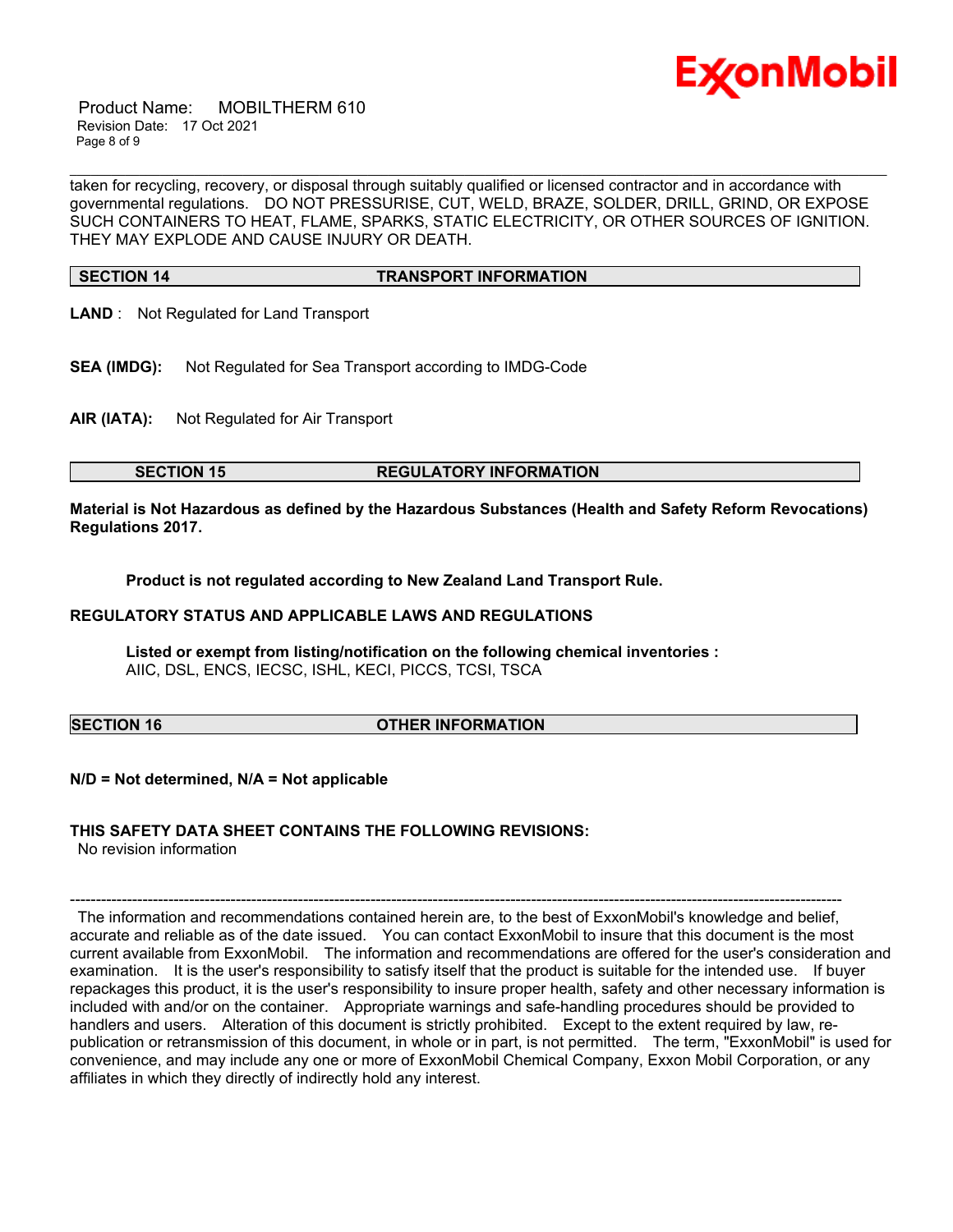

 Product Name: MOBILTHERM 610 Revision Date: 17 Oct 2021 Page 8 of 9

taken for recycling, recovery, or disposal through suitably qualified or licensed contractor and in accordance with governmental regulations. DO NOT PRESSURISE, CUT, WELD, BRAZE, SOLDER, DRILL, GRIND, OR EXPOSE SUCH CONTAINERS TO HEAT, FLAME, SPARKS, STATIC ELECTRICITY, OR OTHER SOURCES OF IGNITION. THEY MAY EXPLODE AND CAUSE INJURY OR DEATH.

\_\_\_\_\_\_\_\_\_\_\_\_\_\_\_\_\_\_\_\_\_\_\_\_\_\_\_\_\_\_\_\_\_\_\_\_\_\_\_\_\_\_\_\_\_\_\_\_\_\_\_\_\_\_\_\_\_\_\_\_\_\_\_\_\_\_\_\_\_\_\_\_\_\_\_\_\_\_\_\_\_\_\_\_\_\_\_\_\_\_\_\_\_\_\_\_\_\_\_\_\_\_\_\_\_\_\_\_\_\_\_\_\_\_\_\_\_\_

# **SECTION 14 TRANSPORT INFORMATION**

**LAND** : Not Regulated for Land Transport

**SEA (IMDG):** Not Regulated for Sea Transport according to IMDG-Code

**AIR (IATA):** Not Regulated for Air Transport

### **SECTION 15 REGULATORY INFORMATION**

**Material is Not Hazardous as defined by the Hazardous Substances (Health and Safety Reform Revocations) Regulations 2017.**

**Product is not regulated according to New Zealand Land Transport Rule.**

### **REGULATORY STATUS AND APPLICABLE LAWS AND REGULATIONS**

**Listed or exempt from listing/notification on the following chemical inventories :**  AIIC, DSL, ENCS, IECSC, ISHL, KECI, PICCS, TCSI, TSCA

### **SECTION 16 OTHER INFORMATION**

**N/D = Not determined, N/A = Not applicable**

# **THIS SAFETY DATA SHEET CONTAINS THE FOLLOWING REVISIONS:**

No revision information

----------------------------------------------------------------------------------------------------------------------------------------------------- The information and recommendations contained herein are, to the best of ExxonMobil's knowledge and belief, accurate and reliable as of the date issued. You can contact ExxonMobil to insure that this document is the most current available from ExxonMobil. The information and recommendations are offered for the user's consideration and examination. It is the user's responsibility to satisfy itself that the product is suitable for the intended use. If buyer repackages this product, it is the user's responsibility to insure proper health, safety and other necessary information is included with and/or on the container. Appropriate warnings and safe-handling procedures should be provided to handlers and users. Alteration of this document is strictly prohibited. Except to the extent required by law, republication or retransmission of this document, in whole or in part, is not permitted. The term, "ExxonMobil" is used for convenience, and may include any one or more of ExxonMobil Chemical Company, Exxon Mobil Corporation, or any affiliates in which they directly of indirectly hold any interest.